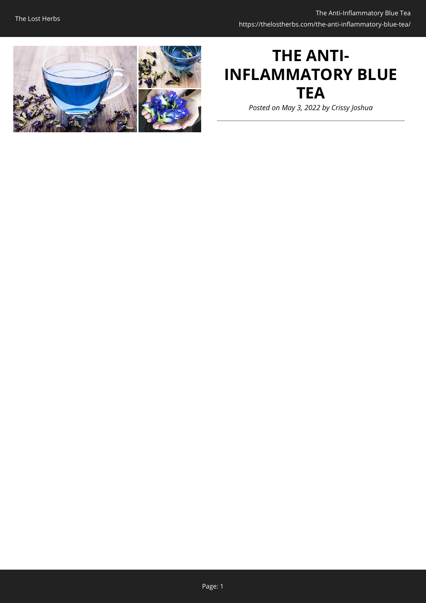

# **THE ANTI-INFLAMMATORY BLUE TEA**

*Posted on May 3, 2022 by Crissy Joshua*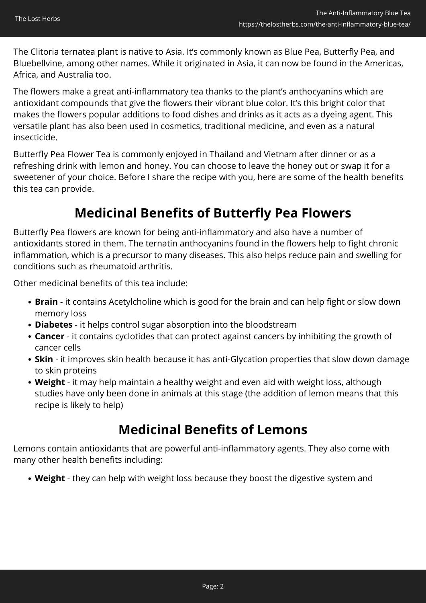The Clitoria ternatea plant is native to Asia. It's commonly known as Blue Pea, Butterfly Pea, and Bluebellvine, among other names. While it originated in Asia, it can now be found in the Americas, Africa, and Australia too.

The flowers make a great anti-inflammatory tea thanks to the plant's anthocyanins which are antioxidant compounds that give the flowers their vibrant blue color. It's this bright color that makes the flowers popular additions to food dishes and drinks as it acts as a dyeing agent. This versatile plant has also been used in cosmetics, traditional medicine, and even as a natural insecticide.

Butterfly Pea Flower Tea is commonly enjoyed in Thailand and Vietnam after dinner or as a refreshing drink with lemon and honey. You can choose to leave the honey out or swap it for a sweetener of your choice. Before I share the recipe with you, here are some of the health benefits this tea can provide.

## **Medicinal Benefits of Butterfly Pea Flowers**

Butterfly Pea flowers are known for being anti-inflammatory and also have a number of antioxidants stored in them. The ternatin anthocyanins found in the flowers help to fight chronic inflammation, which is a precursor to many diseases. This also helps reduce pain and swelling for conditions such as rheumatoid arthritis.

Other medicinal benefits of this tea include:

- **Brain** it contains Acetylcholine which is good for the brain and can help fight or slow down memory loss
- **Diabetes** it helps control sugar absorption into the bloodstream
- **Cancer**  it contains cyclotides that can protect against cancers by inhibiting the growth of cancer cells
- **Skin**  it improves skin health because it has anti-Glycation properties that slow down damage to skin proteins
- **Weight**  it may help maintain a healthy weight and even aid with weight loss, although studies have only been done in animals at this stage (the addition of lemon means that this recipe is likely to help)

### **Medicinal Benefits of Lemons**

Lemons contain antioxidants that are powerful anti-inflammatory agents. They also come with many other health benefits including:

**Weight** - they can help with weight loss because they boost the digestive system and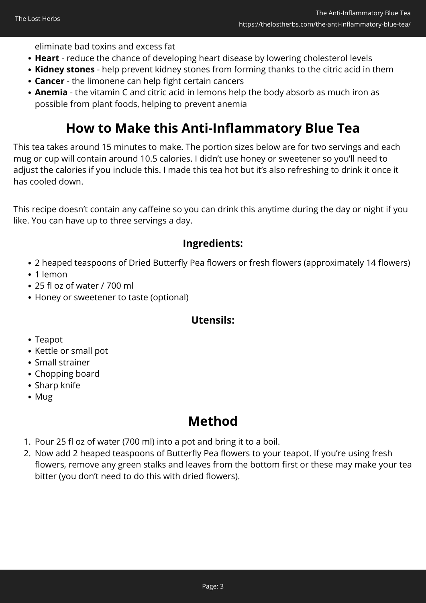eliminate bad toxins and excess fat

- **Heart**  reduce the chance of developing heart disease by lowering cholesterol levels
- **Kidney stones**  help prevent kidney stones from forming thanks to the citric acid in them
- **Cancer** the limonene can help fight certain cancers
- **Anemia** the vitamin C and citric acid in lemons help the body absorb as much iron as possible from plant foods, helping to prevent anemia

# **How to Make this Anti-Inflammatory Blue Tea**

This tea takes around 15 minutes to make. The portion sizes below are for two servings and each mug or cup will contain around 10.5 calories. I didn't use honey or sweetener so you'll need to adjust the calories if you include this. I made this tea hot but it's also refreshing to drink it once it has cooled down.

This recipe doesn't contain any caffeine so you can drink this anytime during the day or night if you like. You can have up to three servings a day.

### **Ingredients:**

- 2 heaped teaspoons of Dried Butterfly Pea flowers or fresh flowers (approximately 14 flowers)
- 1 lemon
- 25 fl oz of water / 700 ml
- Honey or sweetener to taste (optional)

### **Utensils:**

- Teapot
- Kettle or small pot
- Small strainer
- Chopping board
- Sharp knife
- Mug

## **Method**

- 1. Pour 25 fl oz of water (700 ml) into a pot and bring it to a boil.
- 2. Now add 2 heaped teaspoons of Butterfly Pea flowers to your teapot. If you're using fresh flowers, remove any green stalks and leaves from the bottom first or these may make your tea bitter (you don't need to do this with dried flowers).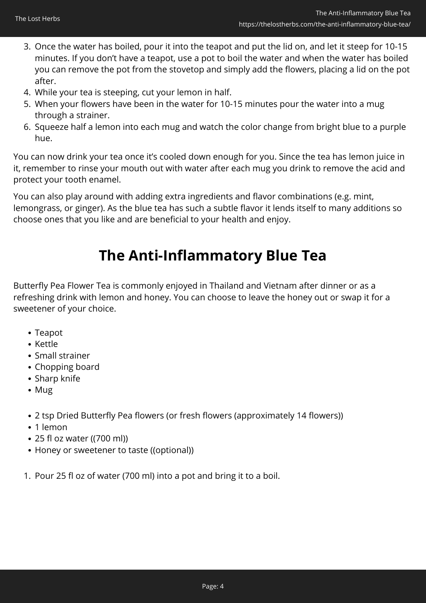- 3. Once the water has boiled, pour it into the teapot and put the lid on, and let it steep for 10-15 minutes. If you don't have a teapot, use a pot to boil the water and when the water has boiled you can remove the pot from the stovetop and simply add the flowers, placing a lid on the pot after.
- 4. While your tea is steeping, cut your lemon in half.
- 5. When your flowers have been in the water for 10-15 minutes pour the water into a mug through a strainer.
- 6. Squeeze half a lemon into each mug and watch the color change from bright blue to a purple hue.

You can now drink your tea once it's cooled down enough for you. Since the tea has lemon juice in it, remember to rinse your mouth out with water after each mug you drink to remove the acid and protect your tooth enamel.

You can also play around with adding extra ingredients and flavor combinations (e.g. mint, lemongrass, or ginger). As the blue tea has such a subtle flavor it lends itself to many additions so choose ones that you like and are beneficial to your health and enjoy.

# **The Anti-Inflammatory Blue Tea**

Butterfly Pea Flower Tea is commonly enjoyed in Thailand and Vietnam after dinner or as a refreshing drink with lemon and honey. You can choose to leave the honey out or swap it for a sweetener of your choice.

- Teapot
- Kettle
- Small strainer
- Chopping board
- Sharp knife
- Mug
- 2 tsp Dried Butterfly Pea flowers (or fresh flowers (approximately 14 flowers))
- 1 lemon
- 25 fl oz water ((700 ml))
- Honey or sweetener to taste ((optional))
- 1. Pour 25 fl oz of water (700 ml) into a pot and bring it to a boil.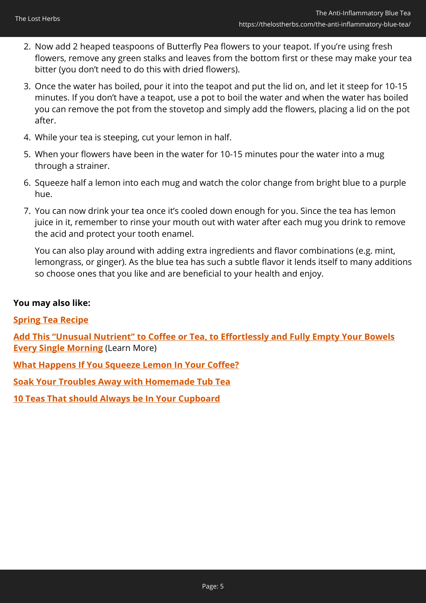- 2. Now add 2 heaped teaspoons of Butterfly Pea flowers to your teapot. If you're using fresh flowers, remove any green stalks and leaves from the bottom first or these may make your tea bitter (you don't need to do this with dried flowers).
- 3. Once the water has boiled, pour it into the teapot and put the lid on, and let it steep for 10-15 minutes. If you don't have a teapot, use a pot to boil the water and when the water has boiled you can remove the pot from the stovetop and simply add the flowers, placing a lid on the pot after.
- 4. While your tea is steeping, cut your lemon in half.
- 5. When your flowers have been in the water for 10-15 minutes pour the water into a mug through a strainer.
- 6. Squeeze half a lemon into each mug and watch the color change from bright blue to a purple hue.
- 7. You can now drink your tea once it's cooled down enough for you. Since the tea has lemon juice in it, remember to rinse your mouth out with water after each mug you drink to remove the acid and protect your tooth enamel.

You can also play around with adding extra ingredients and flavor combinations (e.g. mint, lemongrass, or ginger). As the blue tea has such a subtle flavor it lends itself to many additions so choose ones that you like and are beneficial to your health and enjoy.

### **You may also like:**

### **[Spring Tea Recipe](https://thelostherbs.com/spring-tea-recipe/)**

**[Add This "Unusual Nutrient" to Coffee or Tea, to Effortlessly and Fully Empty Your Bowels](https://hop.clickbank.net/?affiliate=easycellar&vendor=peakbiome&tid=C02BlueTeaPBB) [Every Single Morning](https://hop.clickbank.net/?affiliate=easycellar&vendor=peakbiome&tid=C02BlueTeaPBB)** (Learn More)

**[What Happens If You Squeeze Lemon In Your Coffee?](https://thelostherbs.com/what-happens-if-you-squeeze-lemon-in-your-coffee/)**

**[Soak Your Troubles Away with Homemade Tub Tea](https://thelostherbs.com/soak-your-troubles-away-with-homemade-tub-tea/)**

**[10 Teas That should Always be In Your Cupboard](https://thelostherbs.com/10-teas-that-should-always-be-in-your-cupboard/)**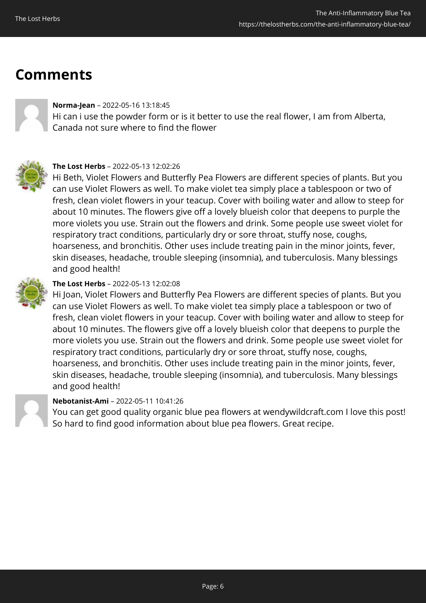# **Comments**



### **Norma-Jean** – 2022-05-16 13:18:45

Hi can i use the powder form or is it better to use the real flower, I am from Alberta, Canada not sure where to find the flower



#### **The Lost Herbs** – 2022-05-13 12:02:26

Hi Beth, Violet Flowers and Butterfly Pea Flowers are different species of plants. But you can use Violet Flowers as well. To make violet tea simply place a tablespoon or two of fresh, clean violet flowers in your teacup. Cover with boiling water and allow to steep for about 10 minutes. The flowers give off a lovely blueish color that deepens to purple the more violets you use. Strain out the flowers and drink. Some people use sweet violet for respiratory tract conditions, particularly dry or sore throat, stuffy nose, coughs, hoarseness, and bronchitis. Other uses include treating pain in the minor joints, fever, skin diseases, headache, trouble sleeping (insomnia), and tuberculosis. Many blessings and good health!



### **The Lost Herbs** – 2022-05-13 12:02:08

Hi Joan, Violet Flowers and Butterfly Pea Flowers are different species of plants. But you can use Violet Flowers as well. To make violet tea simply place a tablespoon or two of fresh, clean violet flowers in your teacup. Cover with boiling water and allow to steep for about 10 minutes. The flowers give off a lovely blueish color that deepens to purple the more violets you use. Strain out the flowers and drink. Some people use sweet violet for respiratory tract conditions, particularly dry or sore throat, stuffy nose, coughs, hoarseness, and bronchitis. Other uses include treating pain in the minor joints, fever, skin diseases, headache, trouble sleeping (insomnia), and tuberculosis. Many blessings and good health!



### **Nebotanist-Ami** – 2022-05-11 10:41:26

You can get good quality organic blue pea flowers at wendywildcraft.com I love this post! So hard to find good information about blue pea flowers. Great recipe.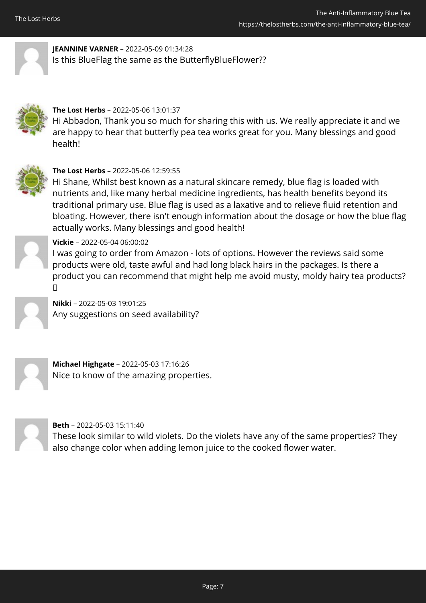

**JEANNINE VARNER** – 2022-05-09 01:34:28 Is this BlueFlag the same as the ButterflyBlueFlower??



### **The Lost Herbs** – 2022-05-06 13:01:37

Hi Abbadon, Thank you so much for sharing this with us. We really appreciate it and we are happy to hear that butterfly pea tea works great for you. Many blessings and good health!



### **The Lost Herbs** – 2022-05-06 12:59:55

Hi Shane, Whilst best known as a natural skincare remedy, blue flag is loaded with nutrients and, like many herbal medicine ingredients, has health benefits beyond its traditional primary use. Blue flag is used as a laxative and to relieve fluid retention and bloating. However, there isn't enough information about the dosage or how the blue flag actually works. Many blessings and good health!



### **Vickie** – 2022-05-04 06:00:02

I was going to order from Amazon - lots of options. However the reviews said some products were old, taste awful and had long black hairs in the packages. Is there a product you can recommend that might help me avoid musty, moldy hairy tea products?  $\Box$ 

**Nikki** – 2022-05-03 19:01:25 Any suggestions on seed availability?

**Michael Highgate** – 2022-05-03 17:16:26 Nice to know of the amazing properties.

**Beth** – 2022-05-03 15:11:40

These look similar to wild violets. Do the violets have any of the same properties? They also change color when adding lemon juice to the cooked flower water.